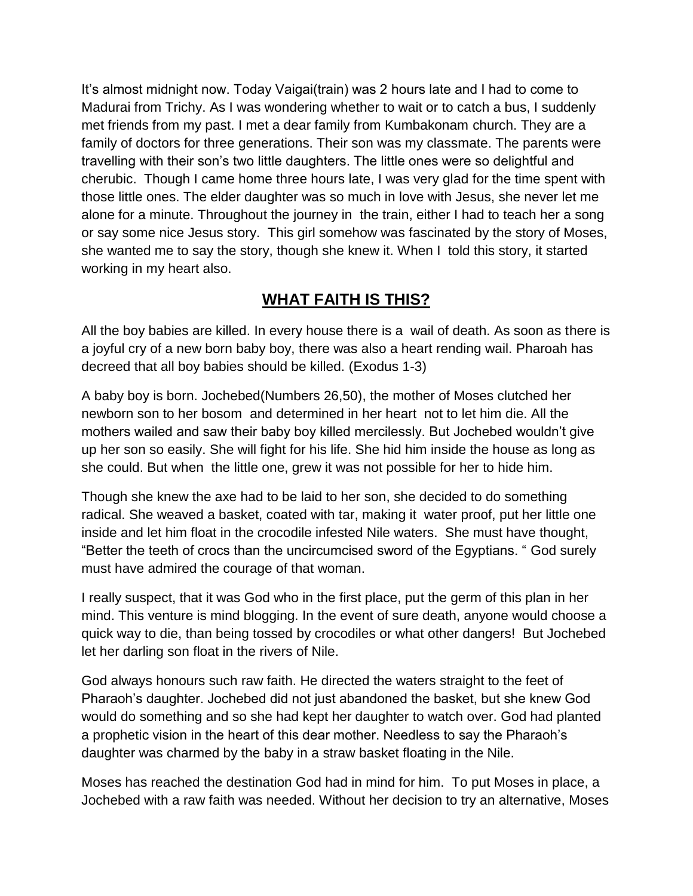It's almost midnight now. Today Vaigai(train) was 2 hours late and I had to come to Madurai from Trichy. As I was wondering whether to wait or to catch a bus, I suddenly met friends from my past. I met a dear family from Kumbakonam church. They are a family of doctors for three generations. Their son was my classmate. The parents were travelling with their son's two little daughters. The little ones were so delightful and cherubic. Though I came home three hours late, I was very glad for the time spent with those little ones. The elder daughter was so much in love with Jesus, she never let me alone for a minute. Throughout the journey in the train, either I had to teach her a song or say some nice Jesus story. This girl somehow was fascinated by the story of Moses, she wanted me to say the story, though she knew it. When I told this story, it started working in my heart also.

## **WHAT FAITH IS THIS?**

All the boy babies are killed. In every house there is a wail of death. As soon as there is a joyful cry of a new born baby boy, there was also a heart rending wail. Pharoah has decreed that all boy babies should be killed. (Exodus 1-3)

A baby boy is born. Jochebed(Numbers 26,50), the mother of Moses clutched her newborn son to her bosom and determined in her heart not to let him die. All the mothers wailed and saw their baby boy killed mercilessly. But Jochebed wouldn't give up her son so easily. She will fight for his life. She hid him inside the house as long as she could. But when the little one, grew it was not possible for her to hide him.

Though she knew the axe had to be laid to her son, she decided to do something radical. She weaved a basket, coated with tar, making it water proof, put her little one inside and let him float in the crocodile infested Nile waters. She must have thought, "Better the teeth of crocs than the uncircumcised sword of the Egyptians. " God surely must have admired the courage of that woman.

I really suspect, that it was God who in the first place, put the germ of this plan in her mind. This venture is mind blogging. In the event of sure death, anyone would choose a quick way to die, than being tossed by crocodiles or what other dangers! But Jochebed let her darling son float in the rivers of Nile.

God always honours such raw faith. He directed the waters straight to the feet of Pharaoh's daughter. Jochebed did not just abandoned the basket, but she knew God would do something and so she had kept her daughter to watch over. God had planted a prophetic vision in the heart of this dear mother. Needless to say the Pharaoh's daughter was charmed by the baby in a straw basket floating in the Nile.

Moses has reached the destination God had in mind for him. To put Moses in place, a Jochebed with a raw faith was needed. Without her decision to try an alternative, Moses